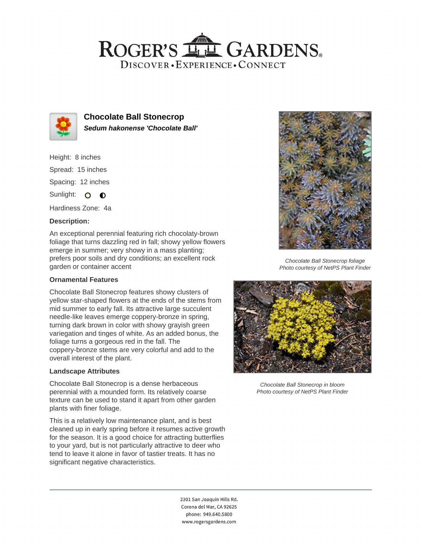# ROGER'S LL GARDENS. DISCOVER · EXPERIENCE · CONNECT



**Chocolate Ball Stonecrop Sedum hakonense 'Chocolate Ball'**

Height: 8 inches Spread: 15 inches Spacing: 12 inches Sunlight: 0 0

Hardiness Zone: 4a

### **Description:**

An exceptional perennial featuring rich chocolaty-brown foliage that turns dazzling red in fall; showy yellow flowers emerge in summer; very showy in a mass planting; prefers poor soils and dry conditions; an excellent rock garden or container accent

### **Ornamental Features**

Chocolate Ball Stonecrop features showy clusters of yellow star-shaped flowers at the ends of the stems from mid summer to early fall. Its attractive large succulent needle-like leaves emerge coppery-bronze in spring, turning dark brown in color with showy grayish green variegation and tinges of white. As an added bonus, the foliage turns a gorgeous red in the fall. The coppery-bronze stems are very colorful and add to the overall interest of the plant.

### **Landscape Attributes**

Chocolate Ball Stonecrop is a dense herbaceous perennial with a mounded form. Its relatively coarse texture can be used to stand it apart from other garden plants with finer foliage.

This is a relatively low maintenance plant, and is best cleaned up in early spring before it resumes active growth for the season. It is a good choice for attracting butterflies to your yard, but is not particularly attractive to deer who tend to leave it alone in favor of tastier treats. It has no significant negative characteristics.



Chocolate Ball Stonecrop foliage Photo courtesy of NetPS Plant Finder



Chocolate Ball Stonecrop in bloom Photo courtesy of NetPS Plant Finder

2301 San Joaquin Hills Rd. Corona del Mar, CA 92625 phone: 949.640.5800 www.rogersgardens.com